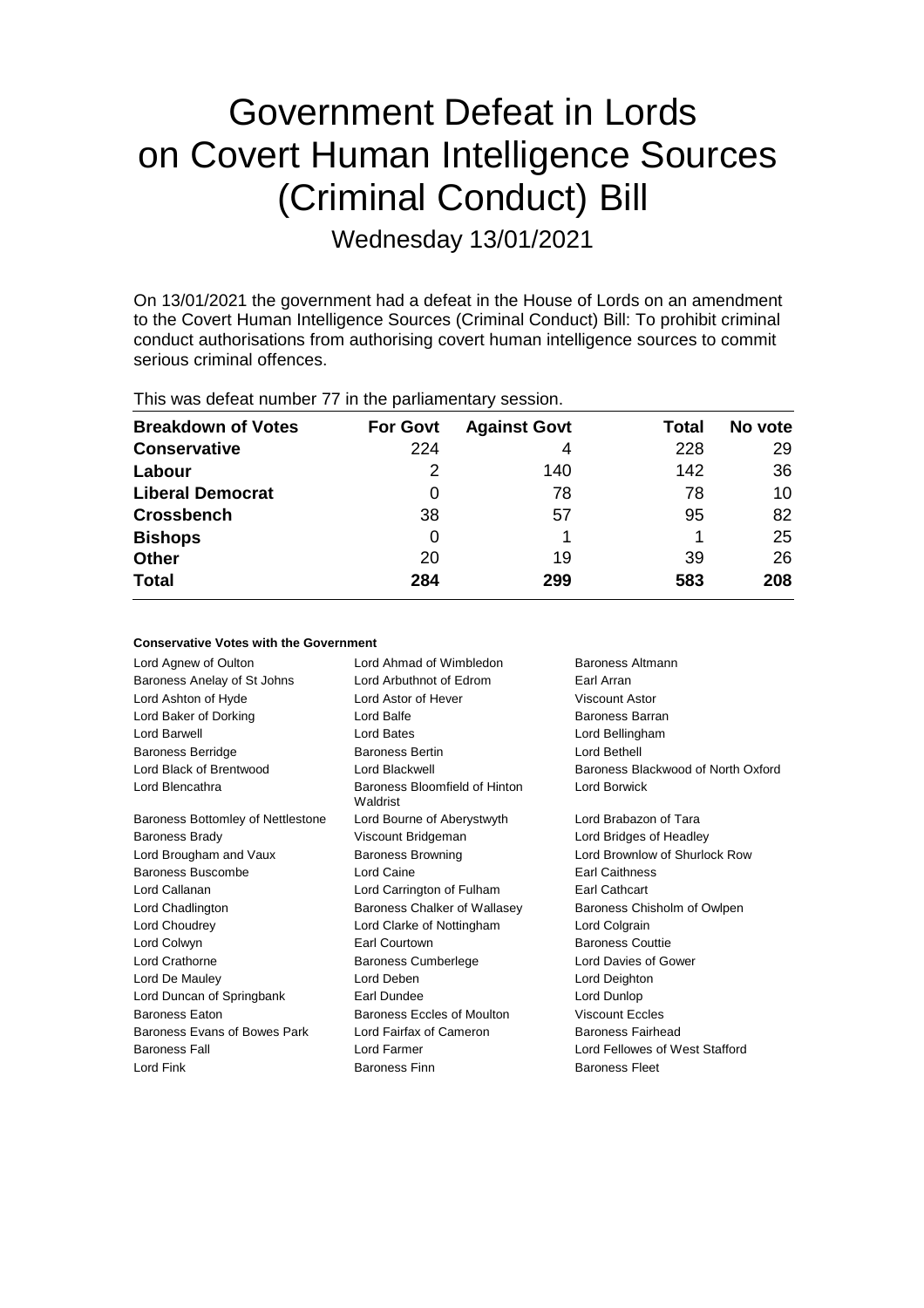# Government Defeat in Lords on Covert Human Intelligence Sources (Criminal Conduct) Bill

Wednesday 13/01/2021

On 13/01/2021 the government had a defeat in the House of Lords on an amendment to the Covert Human Intelligence Sources (Criminal Conduct) Bill: To prohibit criminal conduct authorisations from authorising covert human intelligence sources to commit serious criminal offences.

| <b>Breakdown of Votes</b> | <b>For Govt</b> | <b>Against Govt</b> | Total | No vote |
|---------------------------|-----------------|---------------------|-------|---------|
| <b>Conservative</b>       | 224             | 4                   | 228   | 29      |
| Labour                    | 2               | 140                 | 142   | 36      |
| <b>Liberal Democrat</b>   | O               | 78                  | 78    | 10      |
| <b>Crossbench</b>         | 38              | 57                  | 95    | 82      |
| <b>Bishops</b>            | 0               |                     |       | 25      |
| <b>Other</b>              | 20              | 19                  | 39    | 26      |
| <b>Total</b>              | 284             | 299                 | 583   | 208     |
|                           |                 |                     |       |         |

This was defeat number 77 in the parliamentary session.

#### **Conservative Votes with the Government**

Lord Agnew of Oulton **Lord Ahmad of Wimbledon** Baroness Altmann Baroness Anelay of St Johns Lord Arbuthnot of Edrom Earl Arran Lord Ashton of Hyde Lord Astor of Hever Viscount Astor Lord Baker of Dorking Lord Balfe Baroness Barran Lord Barwell Lord Bates Lord Bellingham Baroness Berridge Baroness Bertin Lord Bethell Lord Black of Brentwood Lord Blackwell Baroness Blackwood of North Oxford Lord Blencathra **Baroness** Bloomfield of Hinton Waldrist Lord Borwick Baroness Bottomley of Nettlestone Lord Bourne of Aberystwyth Lord Brabazon of Tara Baroness Brady **Marting Community Community** Viscount Bridgeman **Lord Bridges of Headley** Lord Brougham and Vaux Baroness Browning Lord Brownlow of Shurlock Row Baroness Buscombe Lord Caine **Earl Caithness** Lord Callanan Lord Carrington of Fulham Earl Cathcart Lord Chadlington Baroness Chalker of Wallasey Baroness Chisholm of Owlpen Lord Choudrey Lord Clarke of Nottingham Lord Colgrain Lord Colwyn Earl Courtown Baroness Couttie Lord Crathorne **Baroness Cumberlege** Lord Davies of Gower Lord De Mauley Lord Deben Lord Deighton Lord Duncan of Springbank Earl Dundee Earl Dundee Baroness Eaton Baroness Eccles of Moulton Viscount Eccles Baroness Evans of Bowes Park Lord Fairfax of Cameron Baroness Fairhead Baroness Fall Lord Farmer Lord Fellowes of West Stafford Lord Fink **Baroness Finn** Baroness Finn **Baroness Fleet**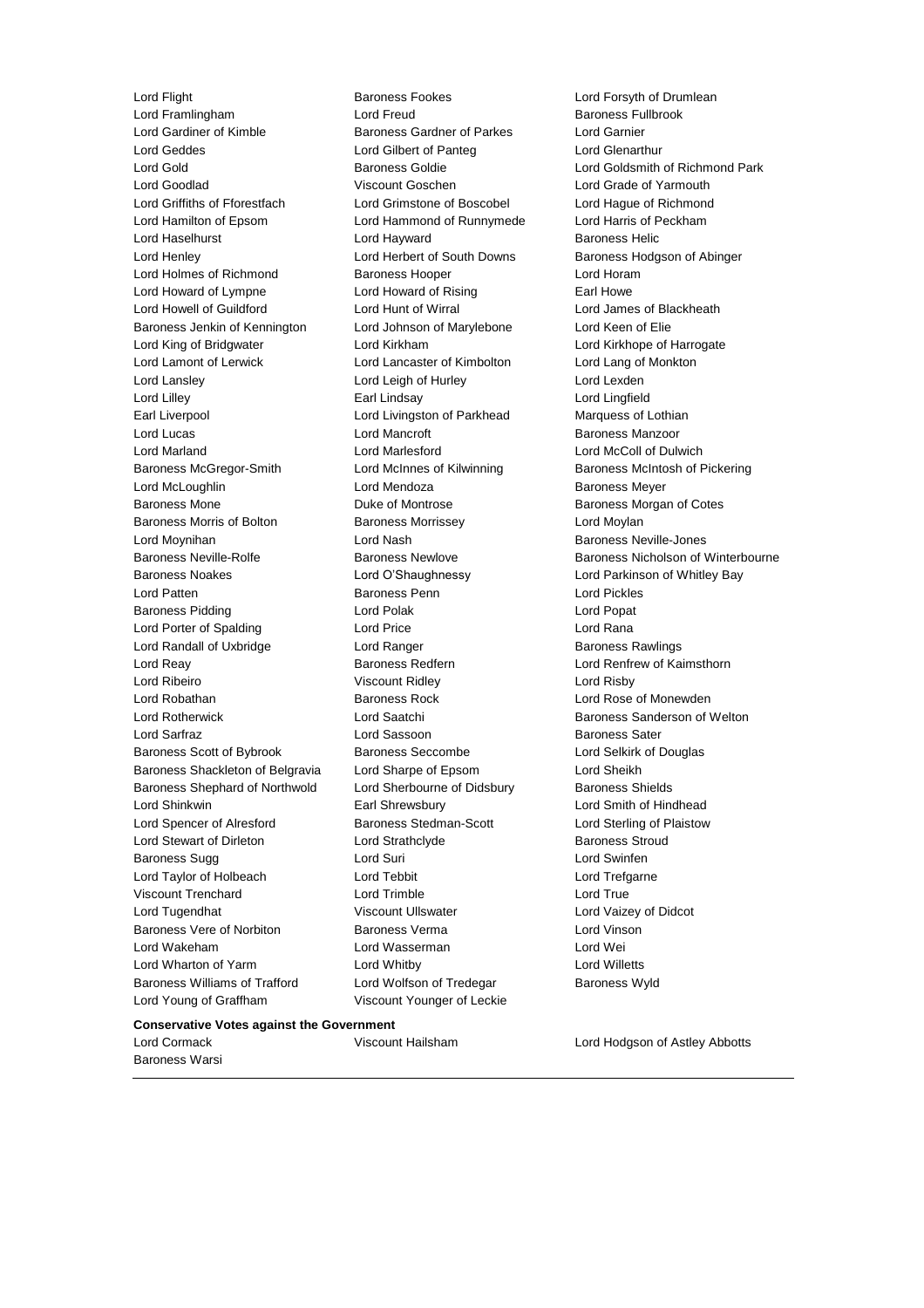Lord Flight **Baroness Fookes** Lord Forsyth of Drumlean Lord Framlingham **Lord Freud** Baroness Fullbrook Lord Gardiner of Kimble **Baroness Gardner of Parkes** Lord Garnier Lord Geddes Lord Gilbert of Panteg Lord Glenarthur Lord Gold Baroness Goldie Lord Goldsmith of Richmond Park Lord Goodlad Viscount Goschen Lord Grade of Yarmouth Lord Griffiths of Fforestfach Lord Grimstone of Boscobel Lord Hague of Richmond Lord Hamilton of Epsom Lord Hammond of Runnymede Lord Harris of Peckham Lord Haselhurst **Lord Hayward** Baroness Helic Lord Henley **Lord Herbert of South Downs** Baroness Hodgson of Abinger Lord Holmes of Richmond Baroness Hooper Lord Horam Lord Howard of Lympne Lord Howard of Rising Earl Howe Lord Howell of Guildford Lord Hunt of Wirral Lord James of Blackheath Baroness Jenkin of Kennington Lord Johnson of Marylebone Lord Keen of Elie Lord King of Bridgwater Lord Kirkham Lord Kirkhope of Harrogate Lord Lamont of Lerwick Lord Lancaster of Kimbolton Lord Lang of Monkton Lord Lansley Lord Leigh of Hurley Lord Lexden Lord Lilley Earl Lindsay Lord Lingfield Earl Liverpool Lord Livingston of Parkhead Marquess of Lothian Lord Lucas **Lord Mancroft Constanting Lord Mancroft** Baroness Manzoor Lord Marland Lord Marlesford Lord McColl of Dulwich Baroness McGregor-Smith Lord McInnes of Kilwinning Baroness McIntosh of Pickering Lord McLoughlin Lord Mendoza Baroness Meyer Baroness Mone Duke of Montrose Baroness Morgan of Cotes Baroness Morris of Bolton Baroness Morrissey **Baroness Lord Moylan** Lord Moynihan Lord Nash Baroness Neville-Jones Baroness Noakes Lord O'Shaughnessy Lord Parkinson of Whitley Bay Lord Patten Baroness Penn Lord Pickles Baroness Pidding **Communist Construction Construction** Lord Polak **Lord Popat** Lord Porter of Spalding Lord Price Lord Rana Lord Randall of Uxbridge **Lord Ranger** Lord Ranger **Baroness Rawlings** Lord Reay **Baroness Redfern Baroness Redfern Lord Renfrew of Kaimsthorn** Lord Ribeiro Viscount Ridley Lord Risby Lord Robathan **Baroness Rock** Lord Rose of Monewden Lord Rotherwick **Lord Saatchi** Baroness Sanderson of Welton Lord Sarfraz Lord Sassoon Baroness Sater Baroness Scott of Bybrook Baroness Seccombe Lord Selkirk of Douglas Baroness Shackleton of Belgravia Lord Sharpe of Epsom Lord Sheikh Baroness Shephard of Northwold Lord Sherbourne of Didsbury Baroness Shields Lord Shinkwin Earl Shrewsbury Lord Smith of Hindhead Lord Spencer of Alresford Baroness Stedman-Scott Lord Sterling of Plaistow Lord Stewart of Dirleton Lord Strathclyde **Baroness** Stroud Baroness Sugg **Lord Suri** Lord Suri **Lord Swinfen** Lord Taylor of Holbeach **Lord Tebbit** Lord Trefgarne Viscount Trenchard Lord Trimble Lord True Lord Tugendhat Viscount Ullswater Lord Vaizey of Didcot Baroness Vere of Norbiton Baroness Verma Lord Vinson Lord Wakeham Lord Wasserman Lord Wei Lord Wharton of Yarm Lord Whitby Lord Willetts Baroness Williams of Trafford Lord Wolfson of Tredegar Baroness Wyld Lord Young of Graffham Viscount Younger of Leckie

Baroness Neville-Rolfe **Baroness Newlove** Baroness Newlove Baroness Nicholson of Winterbourne

#### **Conservative Votes against the Government**

Baroness Warsi

Lord Cormack Viscount Hailsham Lord Hodgson of Astley Abbotts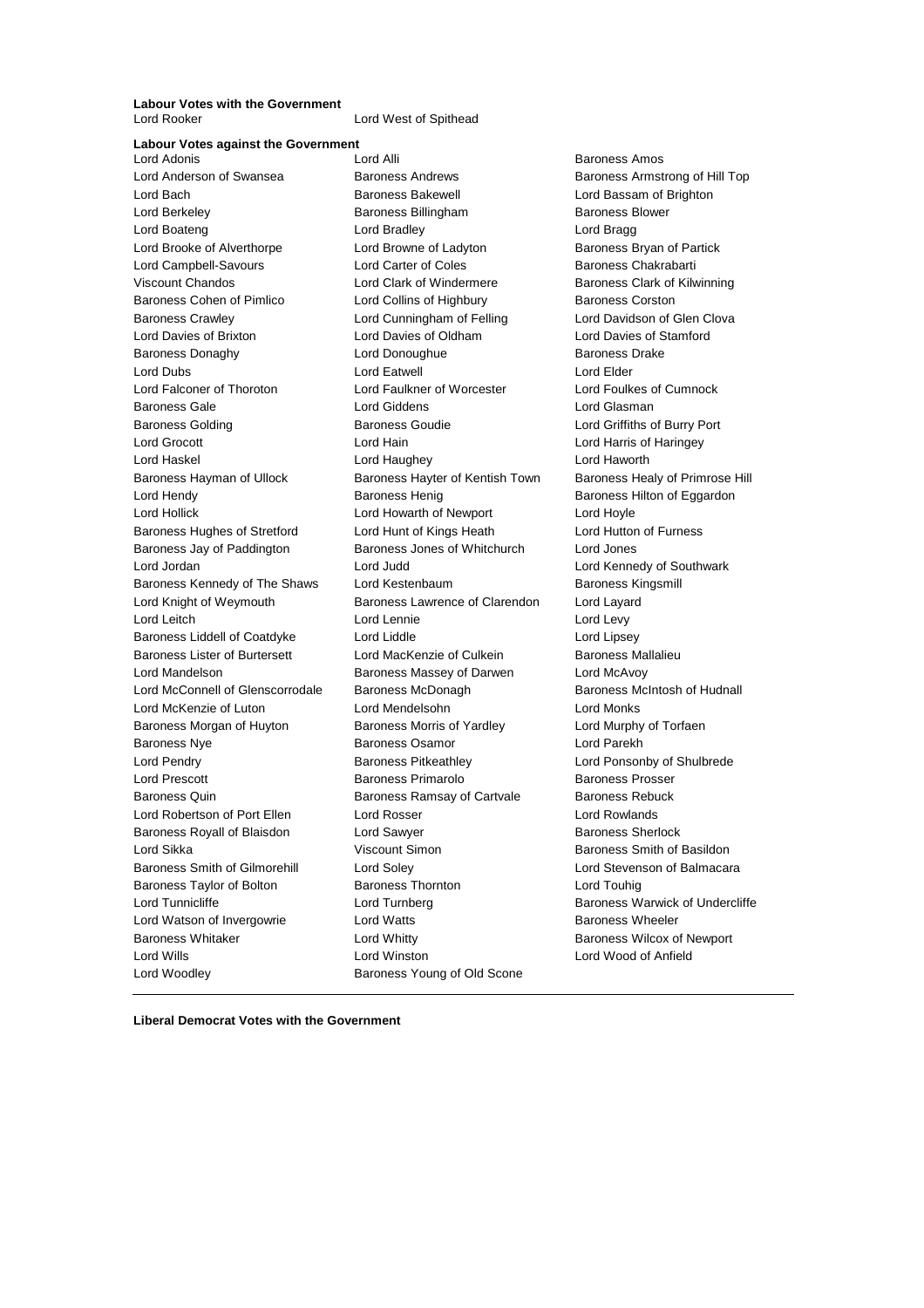**Labour Votes with the Government**

Lord West of Spithead

**Labour Votes against the Government** Lord Anderson of Swansea **Baroness Andrews** Baroness Armstrong of Hill Top Lord Bach **Baroness Bakewell Baroness Bakewell Lord Bassam of Brighton** Lord Berkeley **Baroness Billingham** Baroness Blower Lord Boateng **Lord Bradley Lord Bradley Lord Bragg** Lord Brooke of Alverthorpe Lord Browne of Ladyton Baroness Bryan of Partick Lord Campbell-Savours **Lord Carter of Coles** Baroness Chakrabarti Viscount Chandos **Lord Clark of Windermere** Baroness Clark of Kilwinning Baroness Cohen of Pimlico **Lord Collins of Highbury** Baroness Corston Baroness Crawley Lord Cunningham of Felling Lord Davidson of Glen Clova Lord Davies of Brixton Lord Davies of Oldham Lord Davies of Stamford Baroness Donaghy Lord Donoughue Baroness Drake Lord Dubs Lord Eatwell Lord Elder Lord Falconer of Thoroton Lord Faulkner of Worcester Lord Foulkes of Cumnock Baroness Gale Lord Giddens Lord Glasman Baroness Golding Baroness Goudie Lord Griffiths of Burry Port Lord Grocott **Lord Hain** Lord Hain **Lord Harris of Haringey** Lord Haskel Lord Haughey Lord Haworth Baroness Hayman of Ullock Baroness Hayter of Kentish Town Baroness Healy of Primrose Hill Lord Hendy **Baroness Henig** Baroness Henig Baroness Hilton of Eggardon Lord Hollick Lord Howarth of Newport Lord Hoyle Baroness Hughes of Stretford Lord Hunt of Kings Heath Lord Hutton of Furness Baroness Jay of Paddington Baroness Jones of Whitchurch Lord Jones Lord Jordan Lord Judd Lord Kennedy of Southwark Baroness Kennedy of The Shaws Lord Kestenbaum **Baroness Kingsmill** Lord Knight of Weymouth Baroness Lawrence of Clarendon Lord Layard Lord Leitch **Lord Lennie** Lord Lennie **Lord Levy** Baroness Liddell of Coatdyke Lord Liddle Lord Lines Lord Lipsey Baroness Lister of Burtersett Lord MacKenzie of Culkein Baroness Mallalieu Lord Mandelson Baroness Massey of Darwen Lord McAvoy Lord McConnell of Glenscorrodale Baroness McDonagh Baroness McIntosh of Hudnall Lord McKenzie of Luton Lord Mendelsohn Lord Monks Baroness Morgan of Huyton Baroness Morris of Yardley Cord Murphy of Torfaen Baroness Nye Baroness Osamor Lord Parekh Lord Pendry **Baroness Pitkeathley Baroness Pitkeathley Lord Ponsonby of Shulbrede** Lord Prescott Baroness Primarolo Baroness Prosser Baroness Quin **Baroness Ramsay of Cartvale** Baroness Rebuck Lord Robertson of Port Ellen Lord Rosser Corresponding Lord Rowlands Baroness Royall of Blaisdon Lord Sawyer Communication Baroness Sherlock Lord Sikka **Viscount Simon Baroness Smith of Basildon Lord Sikka** Baroness Smith of Gilmorehill Lord Soley Contact Lord Stevenson of Balmacara Baroness Taylor of Bolton Baroness Thornton Lord Touhig Lord Tunnicliffe **Lord Turnberg** Lord Turnberg **Baroness Warwick of Undercliffe** Lord Watson of Invergowrie **Lord Watts Conducts** Baroness Wheeler Baroness Whitaker **Lord Whitty Lord Whitty Baroness Wilcox of Newport** Lord Wills Lord Winston Lord Wood of Anfield Lord Woodley **Baroness Young of Old Scone** 

**Baroness Amos** 

**Liberal Democrat Votes with the Government**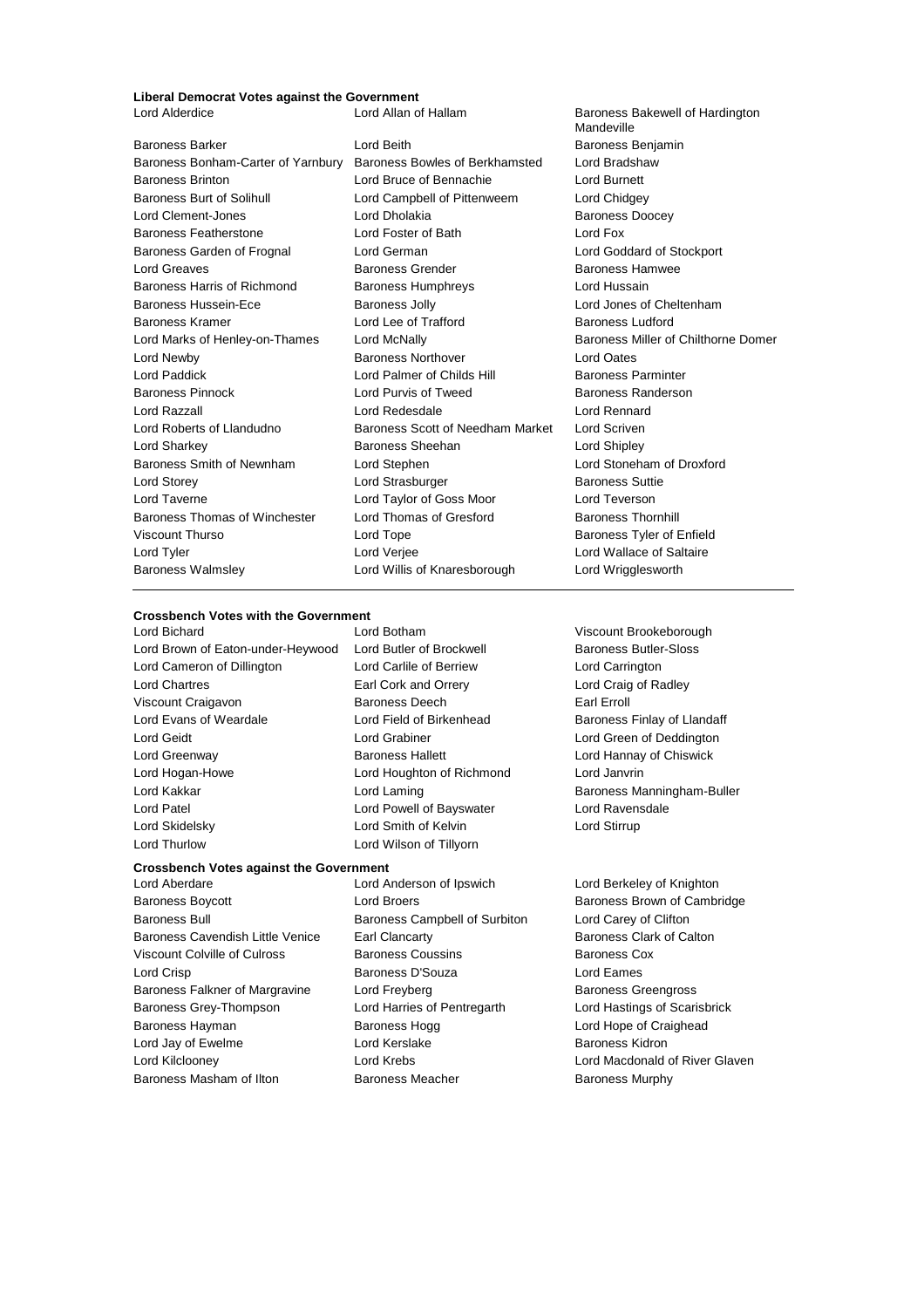## **Liberal Democrat Votes against the Government**

Baroness Bonham-Carter of Yarnbury Baroness Bowles of Berkhamsted Lord Bradshaw Baroness Brinton Lord Bruce of Bennachie Lord Burnett Baroness Burt of Solihull **Lord Campbell of Pittenweem** Lord Chidgey Lord Clement-Jones **Lord Dholakia** Lord Dholakia **Baroness Doocey**<br>
Baroness Featherstone **Lord Foster of Bath** Lord Fox Baroness Featherstone Lord Foster of Bath Lord Fox Baroness Garden of Frognal Lord German Lord Goddard of Stockport Lord Greaves **Baroness Grender** Baroness Grender Baroness Hamwee Baroness Harris of Richmond Baroness Humphreys Lord Hussain Baroness Hussein-Ece Baroness Jolly Lord Jones of Cheltenham Baroness Kramer **Example 2** Lord Lee of Trafford **Baroness Ludford** Baroness Ludford Lord Marks of Henley-on-Thames Lord McNally **Baroness Miller of Chilthorne Domer** Lord Newby Baroness Northover Lord Oates Lord Paddick **Lord Palmer of Childs Hill Baroness Parminter** Baroness Pinnock Lord Purvis of Tweed Baroness Randerson Lord Razzall Lord Redesdale Lord Rennard Lord Roberts of Llandudno Baroness Scott of Needham Market Lord Scriven Lord Sharkey Baroness Sheehan Lord Shipley Baroness Smith of Newnham Lord Stephen Lord Stoneham of Droxford Lord Storey Lord Strasburger Baroness Suttie Lord Taverne Lord Taylor of Goss Moor Lord Teverson Baroness Thomas of Winchester Lord Thomas of Gresford Baroness Thornhill Viscount Thurso **Communist Contract Contract Contract Contract Contract Contract Contract Contract Contract Contract Contract Contract Contract Contract Contract Contract Contract Contract Contract Contract Contract Contra** Lord Tyler Lord Verjee Lord Wallace of Saltaire Baroness Walmsley Lord Willis of Knaresborough Lord Wrigglesworth

Baroness Barker Lord Beith Baroness Benjamin

**Crossbench Votes with the Government** Lord Bichard Lord Botham Viscount Brookeborough Lord Brown of Eaton-under-Heywood Lord Butler of Brockwell Baroness Butler-Sloss Lord Cameron of Dillington Lord Carlile of Berriew Lord Carrington Lord Chartres Earl Cork and Orrery Lord Craig of Radley Viscount Craigavon **Baroness Deech** Earl Erroll Lord Evans of Weardale **Lord Field of Birkenhead** Baroness Finlay of Llandaff Lord Geidt Lord Grabiner Lord Green of Deddington Lord Greenway Baroness Hallett Lord Hannay of Chiswick Lord Hogan-Howe Lord Houghton of Richmond Lord Janvrin Lord Kakkar **Lord Laming Lord Laming Baroness Manningham-Buller Lord Kakkar** Lord Patel Lord Powell of Bayswater Lord Ravensdale Lord Skidelsky **Lord Smith of Kelvin** Lord Stirrup Lord Thurlow Lord Wilson of Tillyorn

## **Crossbench Votes against the Government**

- Baroness Boycott Lord Broers Baroness Brown of Cambridge Baroness Bull **Baroness Campbell of Surbiton** Lord Carey of Clifton Baroness Cavendish Little Venice Earl Clancarty **Baroness Clark of Calton** Viscount Colville of Culross **Baroness Coussins** Baroness Cox Lord Crisp **Baroness D'Souza** Lord Eames Baroness Falkner of Margravine Lord Freyberg **Baroness Greengross** Baroness Greengross Baroness Grey-Thompson Lord Harries of Pentregarth Lord Hastings of Scarisbrick Baroness Hayman **Baroness Hogg Lord Hope of Craighead** Baroness Hogg Lord Hope of Craighead Lord Jay of Ewelme **Lord Kerslake** Lord Kerslake **Baroness Kidron** Lord Kilclooney Lord Krebs Lord Macdonald of River Glaven
- 

Lord Aberdare Lord Anderson of Ipswich Lord Berkeley of Knighton Baroness Masham of Ilton **Baroness Meacher** Baroness Meacher Baroness Murphy

Baroness Bakewell of Hardington Mandeville